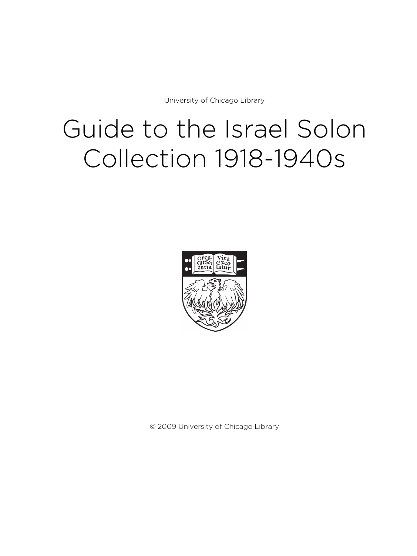University of Chicago Library

# Guide to the Israel Solon Collection 1918-1940s



© 2009 University of Chicago Library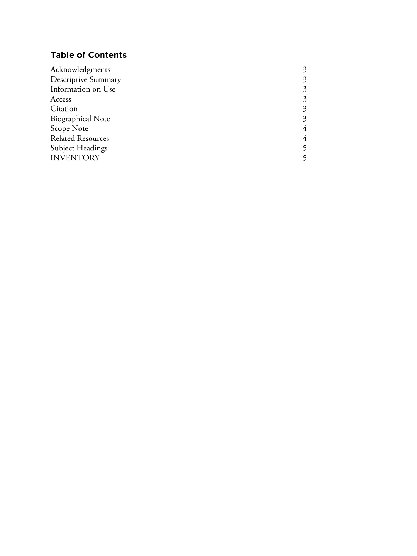# **Table of Contents**

| Descriptive Summary<br>3<br>Information on Use<br>3<br>Access<br>3<br>Citation<br>3<br><b>Biographical Note</b><br>3<br>Scope Note<br>4<br><b>Related Resources</b><br>4<br>Subject Headings<br><b>INVENTORY</b> | Acknowledgments |  |
|------------------------------------------------------------------------------------------------------------------------------------------------------------------------------------------------------------------|-----------------|--|
|                                                                                                                                                                                                                  |                 |  |
|                                                                                                                                                                                                                  |                 |  |
|                                                                                                                                                                                                                  |                 |  |
|                                                                                                                                                                                                                  |                 |  |
|                                                                                                                                                                                                                  |                 |  |
|                                                                                                                                                                                                                  |                 |  |
|                                                                                                                                                                                                                  |                 |  |
|                                                                                                                                                                                                                  |                 |  |
|                                                                                                                                                                                                                  |                 |  |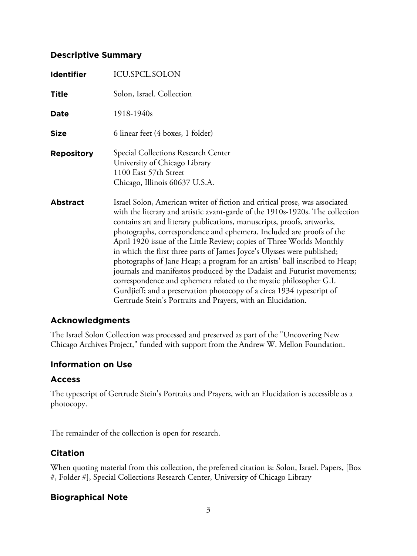# **Descriptive Summary**

| <b>Identifier</b> | ICU.SPCL.SOLON                                                                                                                                                                                                                                                                                                                                                                                                                                                                                                                                                                                                                                                                                                                                                                                                                              |
|-------------------|---------------------------------------------------------------------------------------------------------------------------------------------------------------------------------------------------------------------------------------------------------------------------------------------------------------------------------------------------------------------------------------------------------------------------------------------------------------------------------------------------------------------------------------------------------------------------------------------------------------------------------------------------------------------------------------------------------------------------------------------------------------------------------------------------------------------------------------------|
| <b>Title</b>      | Solon, Israel. Collection                                                                                                                                                                                                                                                                                                                                                                                                                                                                                                                                                                                                                                                                                                                                                                                                                   |
| <b>Date</b>       | 1918-1940s                                                                                                                                                                                                                                                                                                                                                                                                                                                                                                                                                                                                                                                                                                                                                                                                                                  |
| <b>Size</b>       | 6 linear feet (4 boxes, 1 folder)                                                                                                                                                                                                                                                                                                                                                                                                                                                                                                                                                                                                                                                                                                                                                                                                           |
| <b>Repository</b> | Special Collections Research Center<br>University of Chicago Library<br>1100 East 57th Street<br>Chicago, Illinois 60637 U.S.A.                                                                                                                                                                                                                                                                                                                                                                                                                                                                                                                                                                                                                                                                                                             |
| <b>Abstract</b>   | Israel Solon, American writer of fiction and critical prose, was associated<br>with the literary and artistic avant-garde of the 1910s-1920s. The collection<br>contains art and literary publications, manuscripts, proofs, artworks,<br>photographs, correspondence and ephemera. Included are proofs of the<br>April 1920 issue of the Little Review; copies of Three Worlds Monthly<br>in which the first three parts of James Joyce's Ulysses were published;<br>photographs of Jane Heap; a program for an artists' ball inscribed to Heap;<br>journals and manifestos produced by the Dadaist and Futurist movements;<br>correspondence and ephemera related to the mystic philosopher G.I.<br>Gurdjieff; and a preservation photocopy of a circa 1934 typescript of<br>Gertrude Stein's Portraits and Prayers, with an Elucidation. |

# **Acknowledgments**

The Israel Solon Collection was processed and preserved as part of the "Uncovering New Chicago Archives Project," funded with support from the Andrew W. Mellon Foundation.

# **Information on Use**

# **Access**

The typescript of Gertrude Stein's Portraits and Prayers, with an Elucidation is accessible as a photocopy.

The remainder of the collection is open for research.

# **Citation**

When quoting material from this collection, the preferred citation is: Solon, Israel. Papers, [Box #, Folder #], Special Collections Research Center, University of Chicago Library

# **Biographical Note**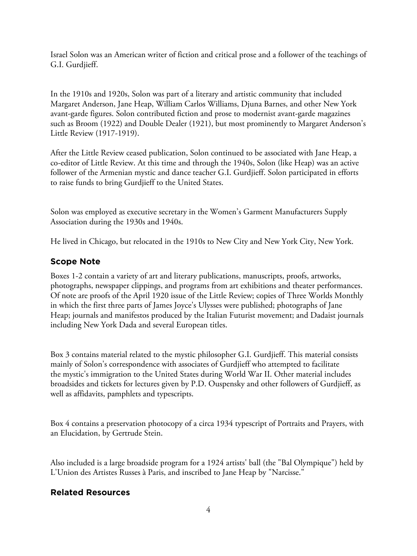Israel Solon was an American writer of fiction and critical prose and a follower of the teachings of G.I. Gurdjieff.

In the 1910s and 1920s, Solon was part of a literary and artistic community that included Margaret Anderson, Jane Heap, William Carlos Williams, Djuna Barnes, and other New York avant-garde figures. Solon contributed fiction and prose to modernist avant-garde magazines such as Broom (1922) and Double Dealer (1921), but most prominently to Margaret Anderson's Little Review (1917-1919).

After the Little Review ceased publication, Solon continued to be associated with Jane Heap, a co-editor of Little Review. At this time and through the 1940s, Solon (like Heap) was an active follower of the Armenian mystic and dance teacher G.I. Gurdjieff. Solon participated in efforts to raise funds to bring Gurdjieff to the United States.

Solon was employed as executive secretary in the Women's Garment Manufacturers Supply Association during the 1930s and 1940s.

He lived in Chicago, but relocated in the 1910s to New City and New York City, New York.

# **Scope Note**

Boxes 1-2 contain a variety of art and literary publications, manuscripts, proofs, artworks, photographs, newspaper clippings, and programs from art exhibitions and theater performances. Of note are proofs of the April 1920 issue of the Little Review; copies of Three Worlds Monthly in which the first three parts of James Joyce's Ulysses were published; photographs of Jane Heap; journals and manifestos produced by the Italian Futurist movement; and Dadaist journals including New York Dada and several European titles.

Box 3 contains material related to the mystic philosopher G.I. Gurdjieff. This material consists mainly of Solon's correspondence with associates of Gurdjieff who attempted to facilitate the mystic's immigration to the United States during World War II. Other material includes broadsides and tickets for lectures given by P.D. Ouspensky and other followers of Gurdjieff, as well as affidavits, pamphlets and typescripts.

Box 4 contains a preservation photocopy of a circa 1934 typescript of Portraits and Prayers, with an Elucidation, by Gertrude Stein.

Also included is a large broadside program for a 1924 artists' ball (the "Bal Olympique") held by L'Union des Artistes Russes à Paris, and inscribed to Jane Heap by "Narcisse."

# **Related Resources**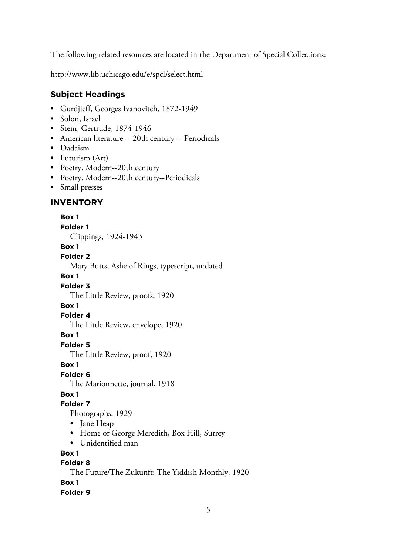The following related resources are located in the Department of Special Collections:

http://www.lib.uchicago.edu/e/spcl/select.html

# **Subject Headings**

- Gurdjieff, Georges Ivanovitch, 1872-1949
- Solon, Israel
- Stein, Gertrude, 1874-1946
- American literature -- 20th century -- Periodicals
- Dadaism
- Futurism (Art)
- Poetry, Modern--20th century
- Poetry, Modern--20th century--Periodicals
- Small presses

# **INVENTORY**

#### **Box 1**

**Folder 1**

Clippings, 1924-1943

#### **Box 1**

#### **Folder 2**

Mary Butts, Ashe of Rings, typescript, undated

#### **Box 1**

#### **Folder 3**

The Little Review, proofs, 1920

# **Box 1**

#### **Folder 4**

The Little Review, envelope, 1920

#### **Box 1**

#### **Folder 5**

The Little Review, proof, 1920

# **Box 1**

# **Folder 6**

The Marionnette, journal, 1918

# **Box 1**

# **Folder 7**

Photographs, 1929

- Jane Heap
- Home of George Meredith, Box Hill, Surrey
- Unidentified man

# **Box 1**

# **Folder 8**

The Future/The Zukunft: The Yiddish Monthly, 1920

# **Box 1**

# **Folder 9**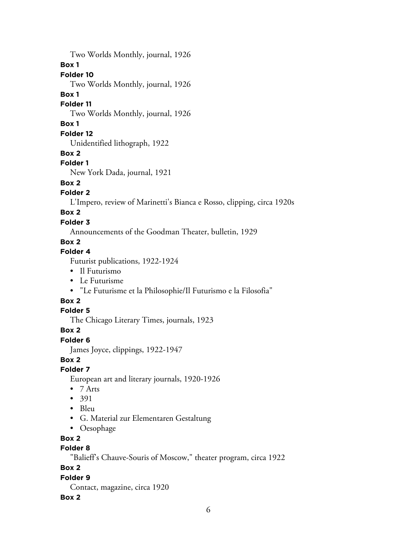Two Worlds Monthly, journal, 1926

#### **Box 1**

**Folder 10**

Two Worlds Monthly, journal, 1926

#### **Box 1**

**Folder 11**

Two Worlds Monthly, journal, 1926

# **Box 1**

# **Folder 12**

Unidentified lithograph, 1922

# **Box 2**

# **Folder 1**

New York Dada, journal, 1921

# **Box 2**

# **Folder 2**

L'Impero, review of Marinetti's Bianca e Rosso, clipping, circa 1920s

# **Box 2**

# **Folder 3**

Announcements of the Goodman Theater, bulletin, 1929

# **Box 2**

# **Folder 4**

Futurist publications, 1922-1924

- Il Futurismo
- Le Futurisme
- "Le Futurisme et la Philosophie/Il Futurismo e la Filosofia"

# **Box 2**

# **Folder 5**

The Chicago Literary Times, journals, 1923

# **Box 2**

# **Folder 6**

James Joyce, clippings, 1922-1947

# **Box 2**

# **Folder 7**

European art and literary journals, 1920-1926

- 7 Arts
- 391
- Bleu
- G. Material zur Elementaren Gestaltung
- Oesophage

# **Box 2**

# **Folder 8**

"Balieff's Chauve-Souris of Moscow," theater program, circa 1922

# **Box 2**

# **Folder 9**

Contact, magazine, circa 1920

# **Box 2**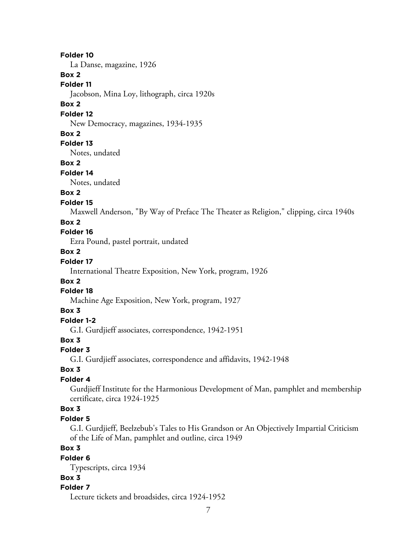#### **Folder 10**

La Danse, magazine, 1926

#### **Box 2**

**Folder 11** Jacobson, Mina Loy, lithograph, circa 1920s

#### **Box 2**

#### **Folder 12**

New Democracy, magazines, 1934-1935

#### **Box 2**

#### **Folder 13**

Notes, undated

#### **Box 2**

#### **Folder 14**

Notes, undated

# **Box 2**

#### **Folder 15**

Maxwell Anderson, "By Way of Preface The Theater as Religion," clipping, circa 1940s

#### **Box 2**

# **Folder 16**

Ezra Pound, pastel portrait, undated

#### **Box 2**

## **Folder 17**

International Theatre Exposition, New York, program, 1926

#### **Box 2**

#### **Folder 18**

Machine Age Exposition, New York, program, 1927

#### **Box 3**

# **Folder 1-2**

G.I. Gurdjieff associates, correspondence, 1942-1951

# **Box 3**

#### **Folder 3**

G.I. Gurdjieff associates, correspondence and affidavits, 1942-1948

#### **Box 3**

## **Folder 4**

Gurdjieff Institute for the Harmonious Development of Man, pamphlet and membership certificate, circa 1924-1925

## **Box 3**

#### **Folder 5**

G.I. Gurdjieff, Beelzebub's Tales to His Grandson or An Objectively Impartial Criticism of the Life of Man, pamphlet and outline, circa 1949

# **Box 3**

#### **Folder 6**

Typescripts, circa 1934

#### **Box 3**

#### **Folder 7**

Lecture tickets and broadsides, circa 1924-1952